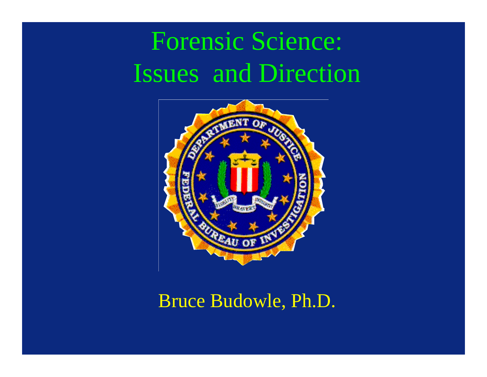# Forensic Science: Issues and Direction



#### Bruce Budowle, Ph.D.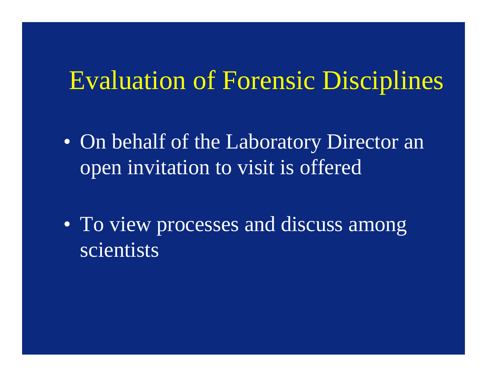### Evaluation of Forensic Disciplines

- On behalf of the Laboratory Director an open invitation to visit is offered
- To view processes and discuss among scientists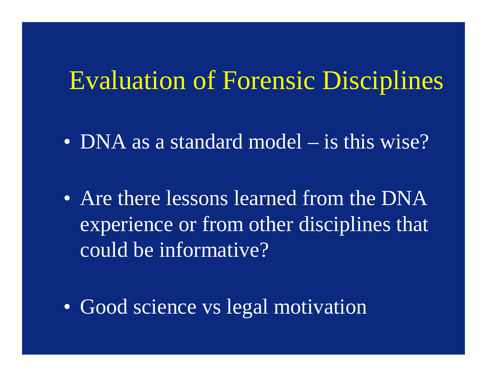#### Evaluation of Forensic Disciplines

- DNA as a standard model is this wise?
- Are there lessons learned from the DNA experience or from other disciplines that could be informative?
- Good science vs legal motivation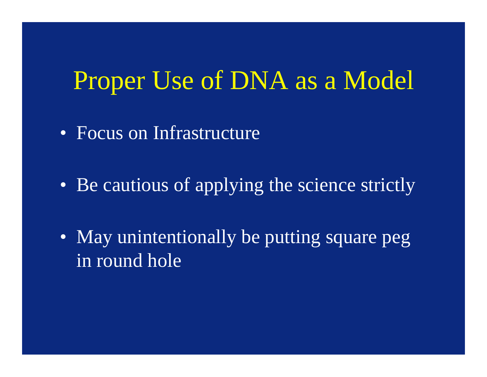#### Proper Use of DNA as a Model

- Focus on Infrastructure
- Be cautious of applying the science strictly
- May unintentionally be putting square peg in round hole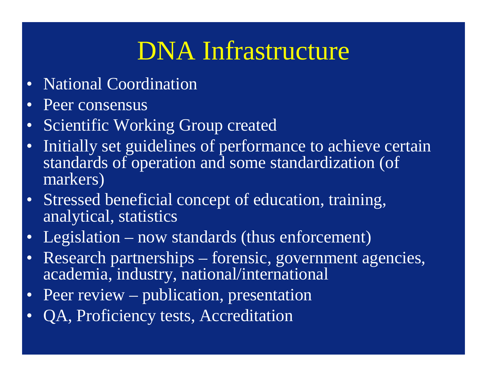## DNA Infrastructure

- National Coordination
- Peer consensus
- Scientific Working Group created
- Initially set guidelines of performance to achieve certain standards of operation and some standardization (of markers)
- Stressed beneficial concept of education, training, analytical, statistics
- Legislation now standards (thus enforcement)
- Research partnerships forensic, government agencies, academia, industry, national/international
- Peer review publication, presentation
- QA, Proficiency tests, Accreditation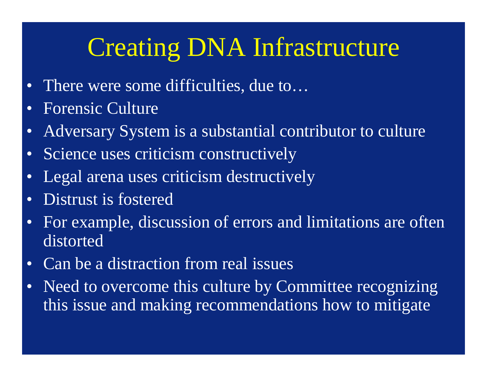## Creating DNA Infrastructure

- There were some difficulties, due to...
- Forensic Culture
- Adversary System is a substantial contributor to culture
- Science uses criticism constructively
- Legal arena uses criticism destructively
- Distrust is fostered
- For example, discussion of errors and limitations are often distorted
- Can be a distraction from real issues
- Need to overcome this culture by Committee recognizing this issue and making recommendations how to mitigate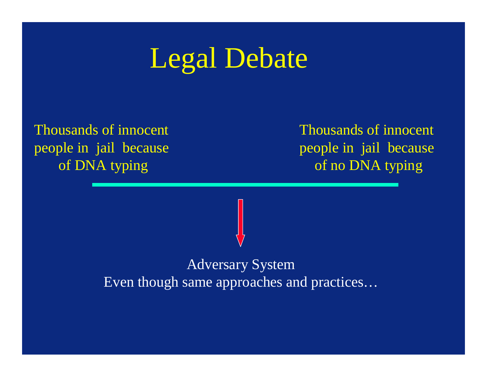# Legal Debate

Thousands of innocent people in jail because of DNA typing

Thousands of innocent people in jail because of no DNA typing

Adversary System Even though same approaches and practices…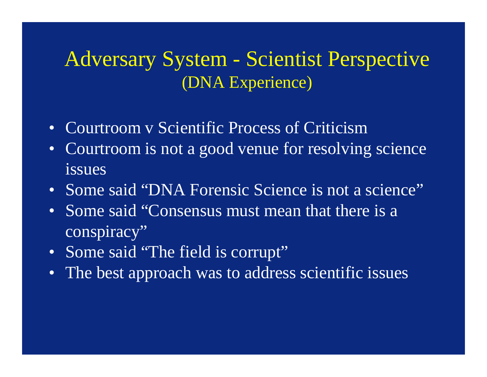#### Adversary System - Scientist Perspective (DNA Experience)

- Courtroom y Scientific Process of Criticism
- Courtroom is not a good venue for resolving science issues
- Some said "DNA Forensic Science is not a science"
- Some said "Consensus must mean that there is a conspiracy"
- Some said "The field is corrupt"
- The best approach was to address scientific issues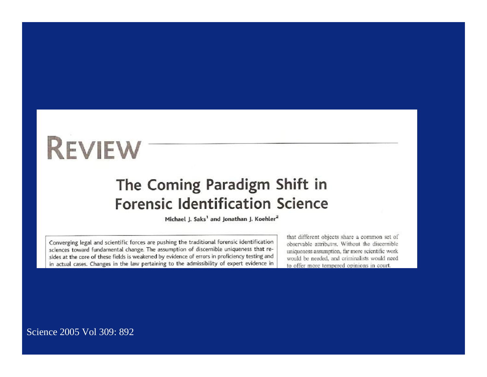# **REVIEW**

#### The Coming Paradigm Shift in **Forensic Identification Science**

Michael J. Saks<sup>1</sup> and Jonathan J. Koehler<sup>2</sup>

Converging legal and scientific forces are pushing the traditional forensic identification sciences toward fundamental change. The assumption of discernible uniqueness that resides at the core of these fields is weakened by evidence of errors in proficiency testing and in actual cases. Changes in the law pertaining to the admissibility of expert evidence in

that different objects share a common set of observable attributes. Without the discernible uniqueness assumption, far more scientific work would be needed, and criminalists would need to offer more tempered opinions in court.

Science 2005 Vol 309: 892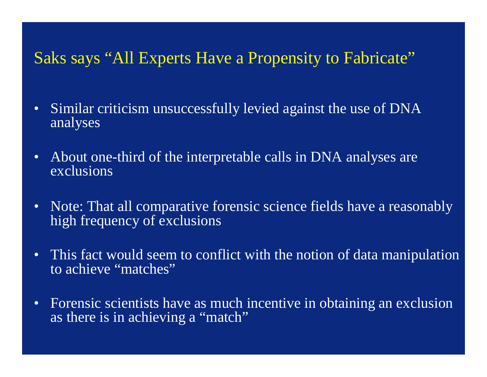#### Saks says "All Experts Have a Propensity to Fabricate"

- Similar criticism unsuccessfully levied against the use of DNA analyses
- About one-third of the interpretable calls in DNA analyses are exclusions
- Note: That all comparative forensic science fields have a reasonably high frequency of exclusions
- This fact would seem to conflict with the notion of data manipulation to achieve "matches"
- Forensic scientists have as much incentive in obtaining an exclusion as there is in achieving a "match"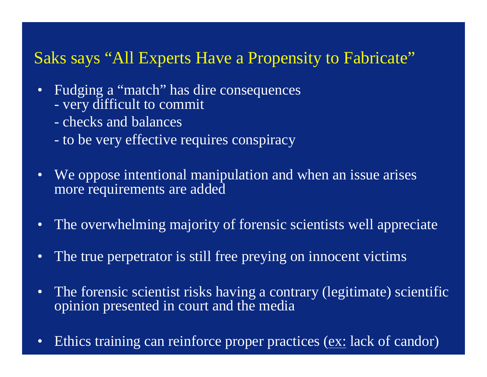#### Saks says "All Experts Have a Propensity to Fabricate"

- Fudging a "match" has dire consequences - very difficult to commit
	- checks and balances
	- to be very effective requires conspiracy
- We oppose intentional manipulation and when an issue arises more requirements are added
- The overwhelming majority of forensic scientists well appreciate
- The true perpetrator is still free preying on innocent victims
- The forensic scientist risks having a contrary (legitimate) scientific opinion presented in court and the media
- Ethics training can reinforce proper practices (ex: lack of candor)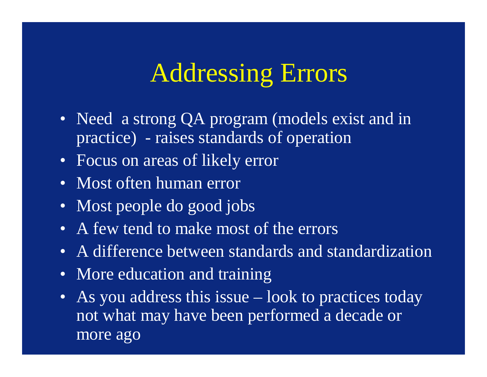#### Addressing Errors

- Need a strong QA program (models exist and in practice) - raises standards of operation
- Focus on areas of likely error
- Most often human error
- Most people do good jobs
- A few tend to make most of the errors
- A difference between standards and standardization
- More education and training
- As you address this issue look to practices today not what may have been performed a decade or more ago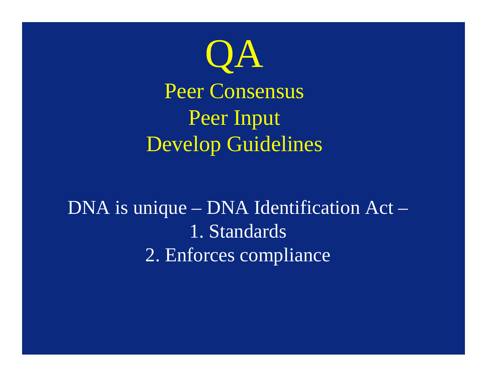

DNA is unique – DNA Identification Act – 1. Standards 2. Enforces compliance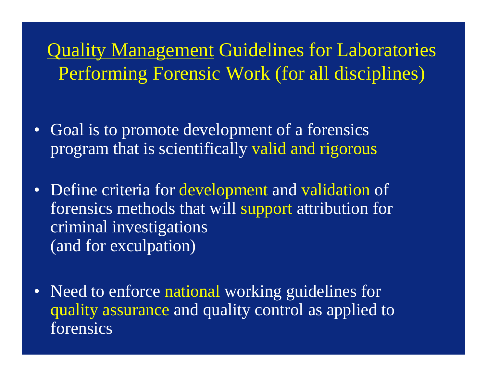Quality Management Guidelines for Laboratories Performing Forensic Work (for all disciplines)

- Goal is to promote development of a forensics program that is scientifically valid and rigorous
- Define criteria for development and validation of forensics methods that will support attribution for criminal investigations (and for exculpation)
- Need to enforce national working guidelines for quality assurance and quality control as applied to forensics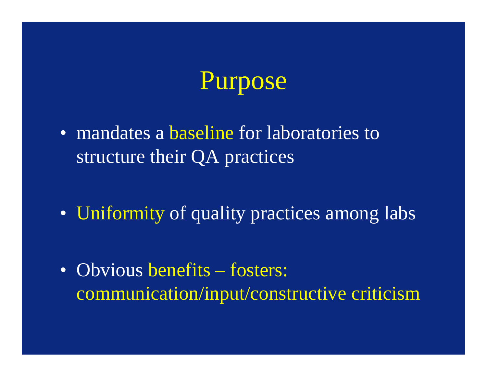## Purpose

- mandates a baseline for laboratories to structure their QA practices
- Uniformity of quality practices among labs
- Obvious benefits fosters: communication/input/constructive criticism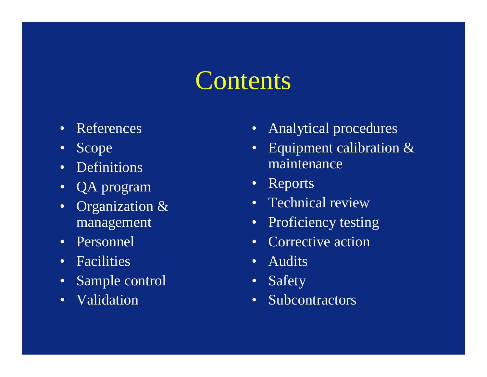### **Contents**

- References
- Scope
- Definitions
- QA program
- Organization & management
- Personnel
- Facilities
- Sample control
- Validation
- Analytical procedures
- Equipment calibration & maintenance
- Reports
- Technical review
- Proficiency testing
- Corrective action
- Audits
- Safety
- Subcontractors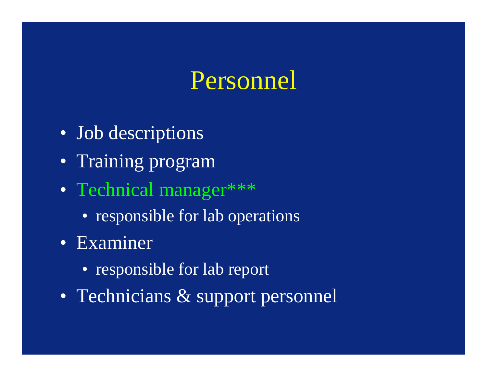### Personnel

- Job descriptions
- Training program
- Technical manager\*\*\*
	- responsible for lab operations
- Examiner
	- responsible for lab report
- Technicians & support personnel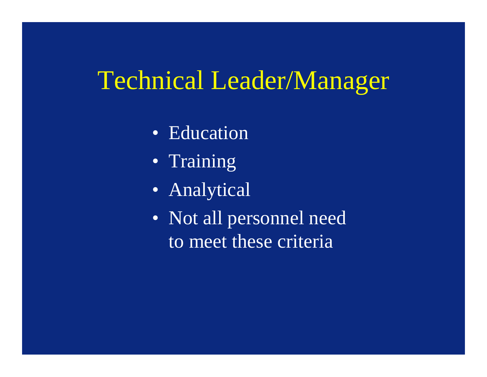## Technical Leader/Manager

- Education
- Training
- Analytical
- Not all personnel need to meet these criteria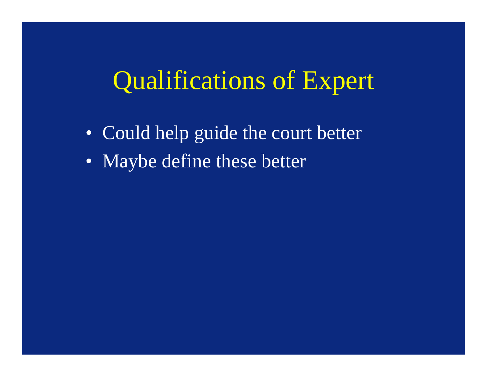#### Qualifications of Expert

- Could help guide the court better
- Maybe define these better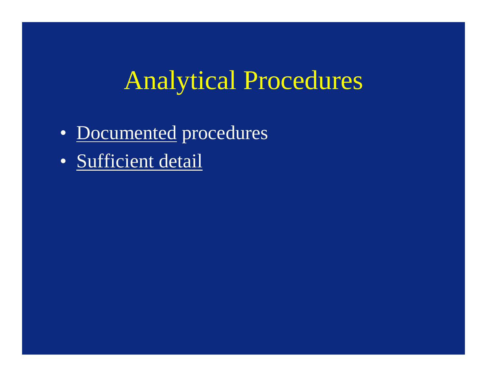## Analytical Procedures

- Documented procedures
- Sufficient detail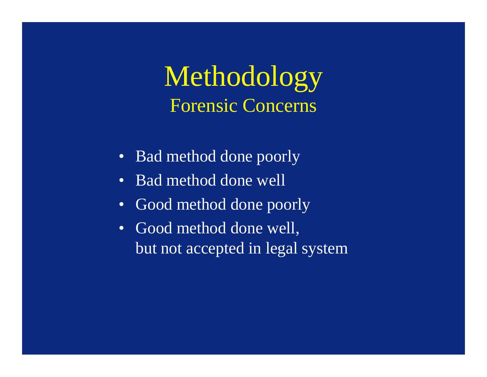#### Methodology Forensic Concerns

- Bad method done poorly
- Bad method done well
- Good method done poorly
- Good method done well, but not accepted in legal system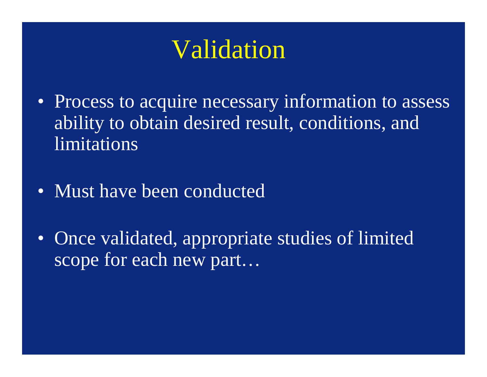- Process to acquire necessary information to assess ability to obtain desired result, conditions, and limitations
- Must have been conducted
- Once validated, appropriate studies of limited scope for each new part...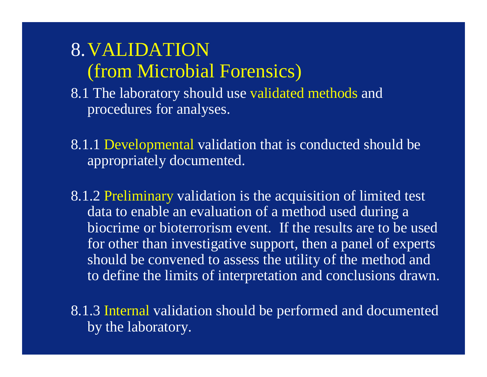#### 8.VALIDATION (from Microbial Forensics)

- 8.1 The laboratory should use validated methods and procedures for analyses.
- 8.1.1 Developmental validation that is conducted should be appropriately documented.
- 8.1.2 Preliminary validation is the acquisition of limited test data to enable an evaluation of a method used during a biocrime or bioterrorism event. If the results are to be used for other than investigative support, then a panel of experts should be convened to assess the utility of the method and to define the limits of interpretation and conclusions drawn.
- 8.1.3 Internal validation should be performed and documented by the laboratory.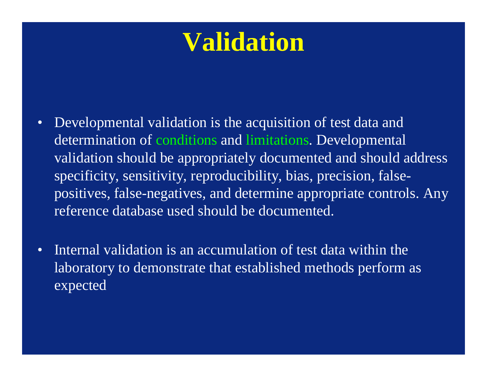- Developmental validation is the acquisition of test data and determination of conditions and limitations. Developmental validation should be appropriately documented and should address specificity, sensitivity, reproducibility, bias, precision, falsepositives, false-negatives, and determine appropriate controls. Any reference database used should be documented.
- Internal validation is an accumulation of test data within the laboratory to demonstrate that established methods perform as expected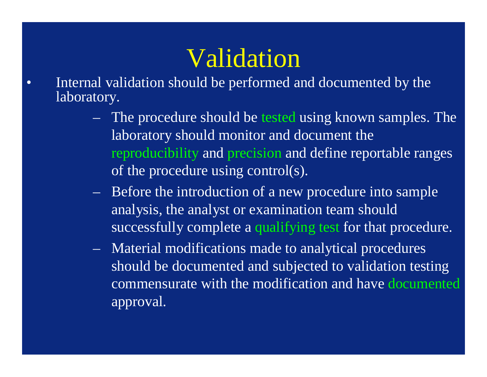- Internal validation should be performed and documented by the laboratory.
	- The procedure should be tested using known samples. The laboratory should monitor and document the reproducibility and precision and define reportable ranges of the procedure using control(s).
	- Before the introduction of a new procedure into sample analysis, the analyst or examination team should successfully complete a qualifying test for that procedure.
	- Material modifications made to analytical procedures should be documented and subjected to validation testing commensurate with the modification and have documented approval.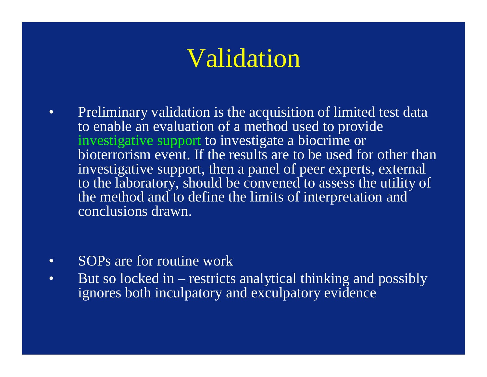- Preliminary validation is the acquisition of limited test data to enable an evaluation of a method used to provide investigative support to investigate a biocrime or bioterrorism event. If the results are to be used for other than investigative support, then a panel of peer experts, external to the laboratory, should be convened to assess the utility of the method and to define the limits of interpretation and conclusions drawn.
- SOPs are for routine work
- But so locked in restricts analytical thinking and possibly ignores both inculpatory and exculpatory evidence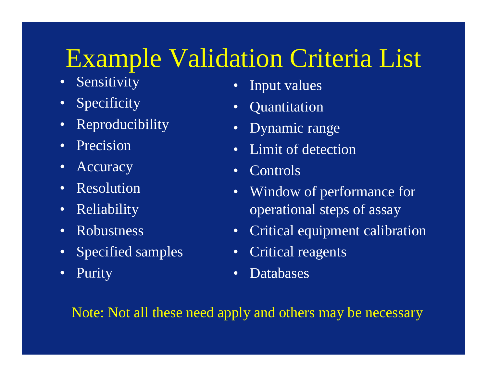## Example Validation Criteria List

- Sensitivity
- Specificity
- Reproducibility
- Precision
- Accuracy
- Resolution
- Reliability
- Robustness
- Specified samples
- Purity
- Input values
- Quantitation
- Dynamic range
- Limit of detection
- Controls
- Window of performance for operational steps of assay
- Critical equipment calibration
- Critical reagents
- Databases

Note: Not all these need apply and others may be necessary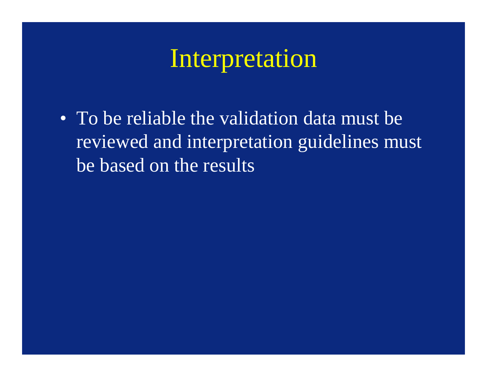#### Interpretation

• To be reliable the validation data must be reviewed and interpretation guidelines must be based on the results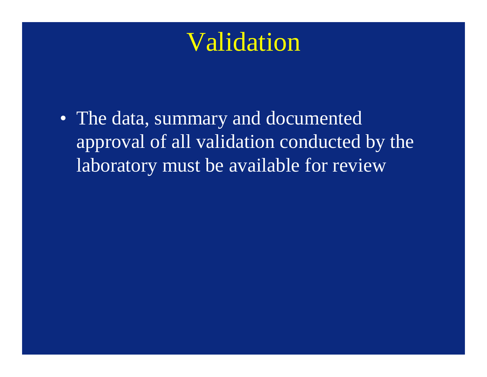• The data, summary and documented approval of all validation conducted by the laboratory must be available for review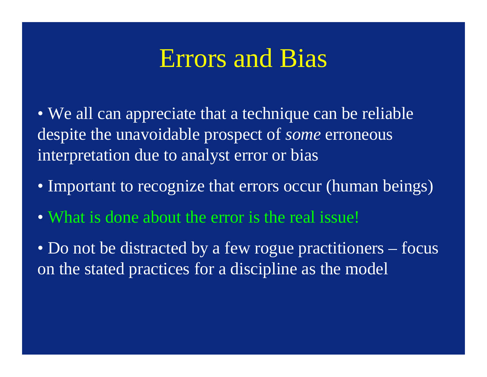#### Errors and Bias

• We all can appreciate that a technique can be reliable despite the unavoidable prospect of *some* erroneous interpretation due to analyst error or bias

- Important to recognize that errors occur (human beings)
- What is done about the error is the real issue!
- Do not be distracted by a few rogue practitioners focus on the stated practices for a discipline as the model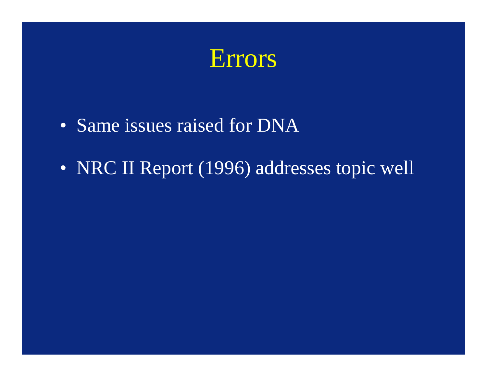

- Same issues raised for DNA
- NRC II Report (1996) addresses topic well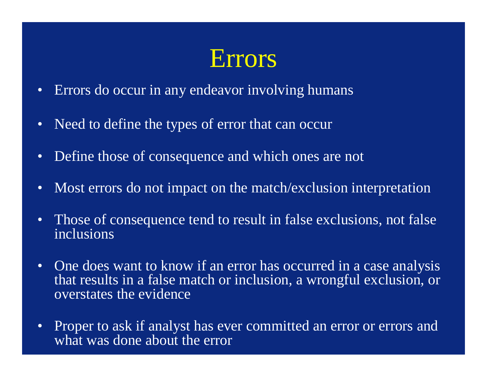- Errors do occur in any endeavor involving humans
- Need to define the types of error that can occur
- Define those of consequence and which ones are not
- Most errors do not impact on the match/exclusion interpretation
- Those of consequence tend to result in false exclusions, not false inclusions
- One does want to know if an error has occurred in a case analysis that results in a false match or inclusion, a wrongful exclusion, or overstates the evidence
- Proper to ask if analyst has ever committed an error or errors and what was done about the error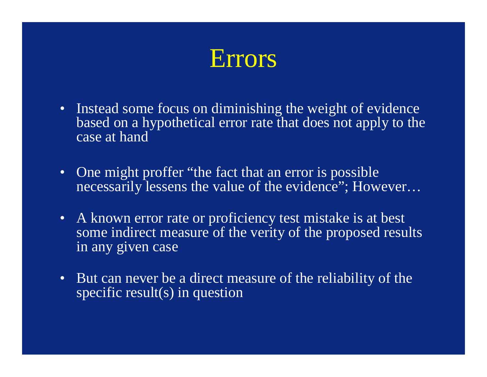- Instead some focus on diminishing the weight of evidence based on a hypothetical error rate that does not apply to the case at hand
- One might proffer "the fact that an error is possible necessarily lessens the value of the evidence"; However...
- A known error rate or proficiency test mistake is at best some indirect measure of the verity of the proposed results in any given case
- But can never be a direct measure of the reliability of the specific result(s) in question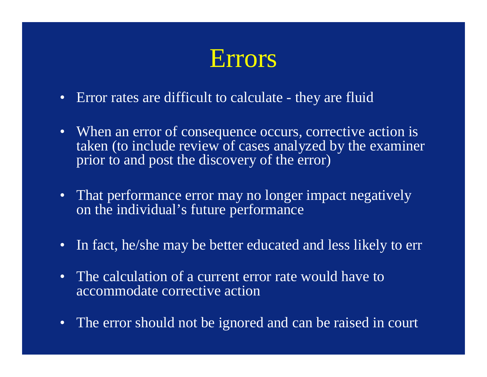- Error rates are difficult to calculate they are fluid
- When an error of consequence occurs, corrective action is taken (to include review of cases analyzed by the examiner prior to and post the discovery of the error)
- That performance error may no longer impact negatively on the individual's future performance
- In fact, he/she may be better educated and less likely to err
- The calculation of a current error rate would have to accommodate corrective action
- The error should not be ignored and can be raised in court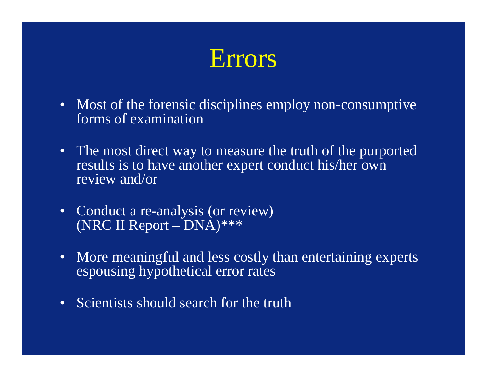- Most of the forensic disciplines employ non-consumptive forms of examination
- The most direct way to measure the truth of the purported results is to have another expert conduct his/her own review and/or
- Conduct a re-analysis (or review) (NRC II Report – DNA) $***$
- More meaningful and less costly than entertaining experts espousing hypothetical error rates
- Scientists should search for the truth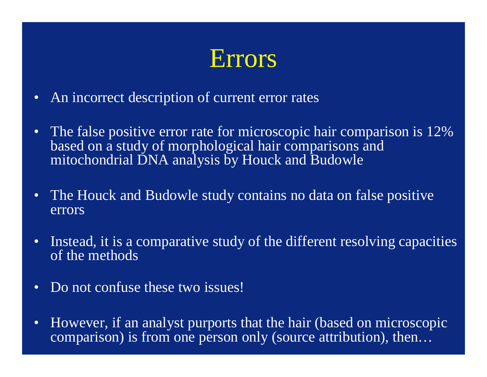- An incorrect description of current error rates
- The false positive error rate for microscopic hair comparison is 12% based on a study of morphological hair comparisons and mitochondrial DNA analysis by Houck and Budowle
- The Houck and Budowle study contains no data on false positive errors
- Instead, it is a comparative study of the different resolving capacities of the methods
- Do not confuse these two issues!
- However, if an analyst purports that the hair (based on microscopic comparison) is from one person only (source attribution), then…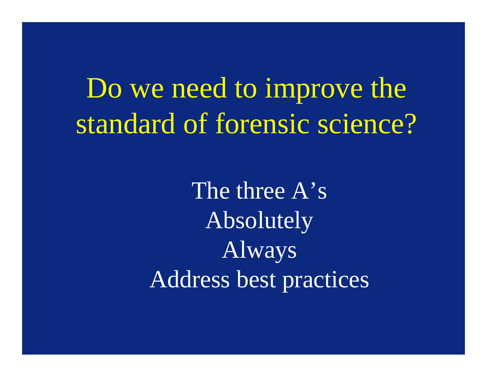# Do we need to improve the standard of forensic science?

The three A's Absolutely Always Address best practices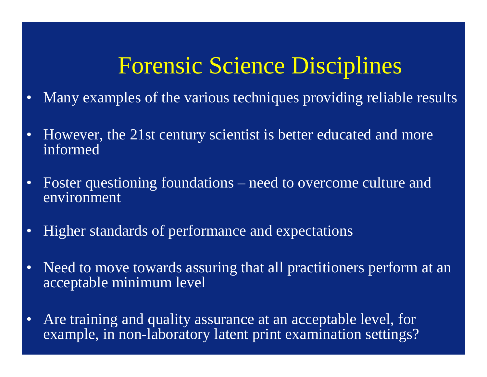#### Forensic Science Disciplines

- Many examples of the various techniques providing reliable results
- However, the 21st century scientist is better educated and more informed
- Foster questioning foundations need to overcome culture and environment
- Higher standards of performance and expectations
- Need to move towards assuring that all practitioners perform at an acceptable minimum level
- Are training and quality assurance at an acceptable level, for example, in non-laboratory latent print examination settings?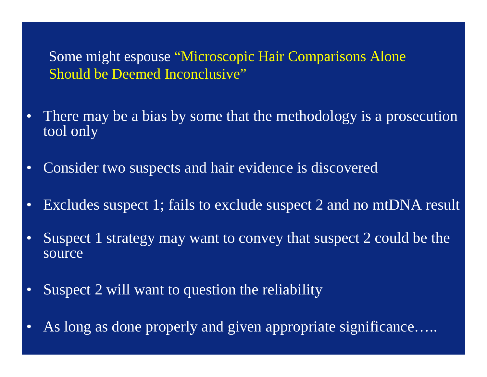Some might espouse "Microscopic Hair Comparisons Alone Should be Deemed Inconclusive"

- There may be a bias by some that the methodology is a prosecution tool only
- Consider two suspects and hair evidence is discovered
- Excludes suspect 1; fails to exclude suspect 2 and no mtDNA result
- Suspect 1 strategy may want to convey that suspect 2 could be the source
- Suspect 2 will want to question the reliability
- As long as done properly and given appropriate significance.....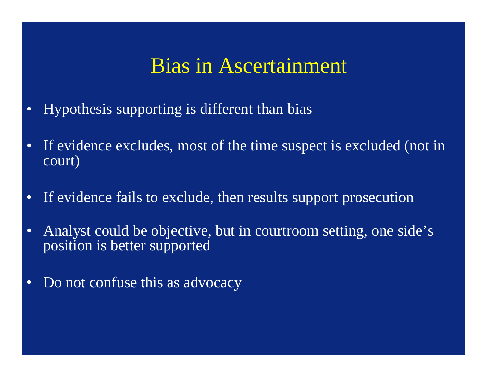#### Bias in Ascertainment

- Hypothesis supporting is different than bias
- If evidence excludes, most of the time suspect is excluded (not in court)
- If evidence fails to exclude, then results support prosecution
- Analyst could be objective, but in courtroom setting, one side's position is better supported
- Do not confuse this as advocacy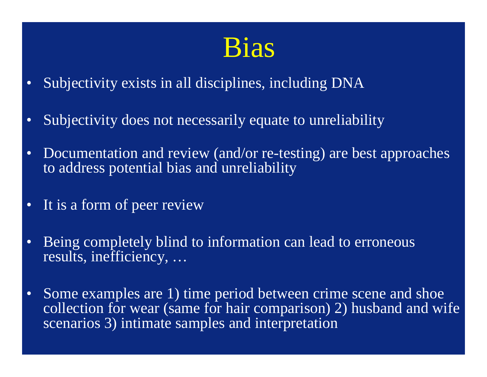## Bias

- Subjectivity exists in all disciplines, including DNA
- Subjectivity does not necessarily equate to unreliability
- Documentation and review (and/or re-testing) are best approaches to address potential bias and unreliability
- It is a form of peer review
- Being completely blind to information can lead to erroneous results, inefficiency, …
- Some examples are 1) time period between crime scene and shoe collection for wear (same for hair comparison) 2) husband and wife scenarios 3) intimate samples and interpretation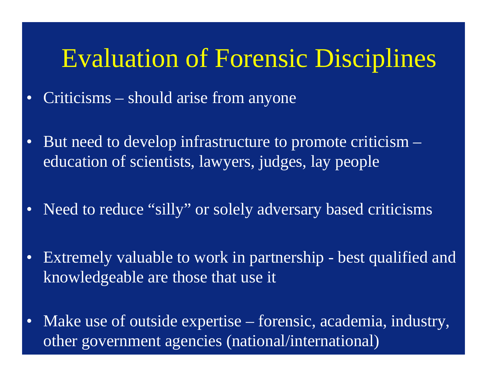#### Evaluation of Forensic Disciplines

- Criticisms should arise from anyone
- But need to develop infrastructure to promote criticism education of scientists, lawyers, judges, lay people
- Need to reduce "silly" or solely adversary based criticisms
- Extremely valuable to work in partnership best qualified and knowledgeable are those that use it
- Make use of outside expertise forensic, academia, industry, other government agencies (national/international)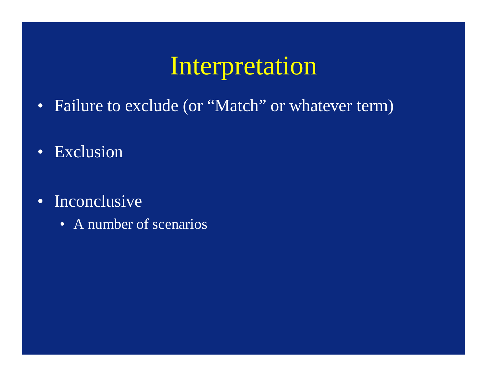#### Interpretation

- Failure to exclude (or "Match" or whatever term)
- Exclusion
- Inconclusive
	- A number of scenarios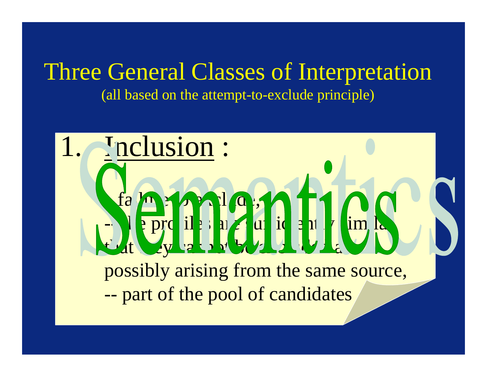#### Three General Classes of Interpretation (all based on the attempt-to-exclude principle)

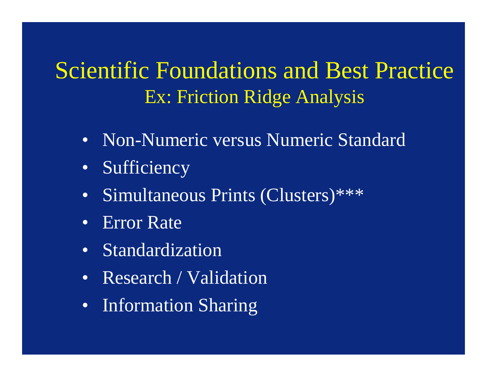#### Scientific Foundations and Best Practice Ex: Friction Ridge Analysis

- Non-Numeric versus Numeric Standard
- Sufficiency
- Simultaneous Prints (Clusters)\*\*\*
- Error Rate
- Standardization
- Research / Validation
- Information Sharing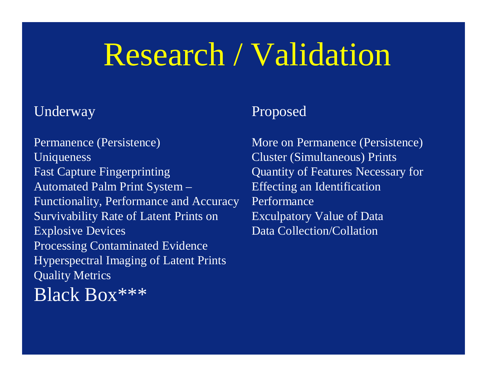# Research / Validation

#### Underway

Permanence (Persistence) Uniqueness Fast Capture Fingerprinting Automated Palm Print System – Functionality, Performance and Accuracy Survivability Rate of Latent Prints on Explosive Devices Processing Contaminated Evidence Hyperspectral Imaging of Latent Prints Quality Metrics Black Box\*\*\*

#### Proposed

More on Permanence (Persistence) Cluster (Simultaneous) Prints Quantity of Features Necessary for Effecting an Identification Performance Exculpatory Value of Data Data Collection/Collation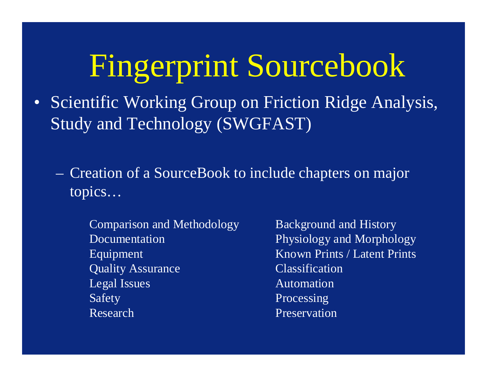# Fingerprint Sourcebook

- Scientific Working Group on Friction Ridge Analysis, Study and Technology (SWGFAST)
	- Creation of a SourceBook to include chapters on major topics…
		- Comparison and Methodology Documentation Equipment Quality Assurance Legal Issues Safety Research
- Background and History Physiology and Morphology Known Prints / Latent Prints Classification Automation Processing Preservation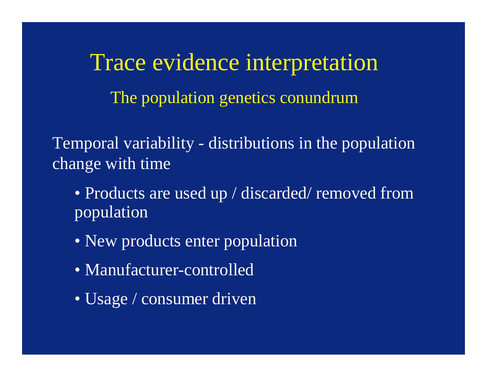Trace evidence interpretation The population genetics conundrum

Temporal variability - distributions in the population change with time

- Products are used up / discarded/ removed from population
- New products enter population
- Manufacturer-controlled
- Usage / consumer driven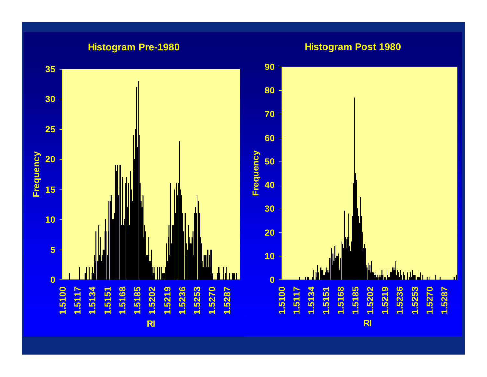#### **Histogram Pre-1980**

**Histogram Post 1980**

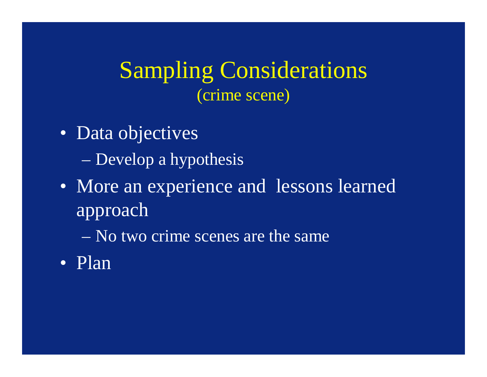Sampling Considerations (crime scene)

- Data objectives – Develop a hypothesis
- More an experience and lessons learned approach

– No two crime scenes are the same

• Plan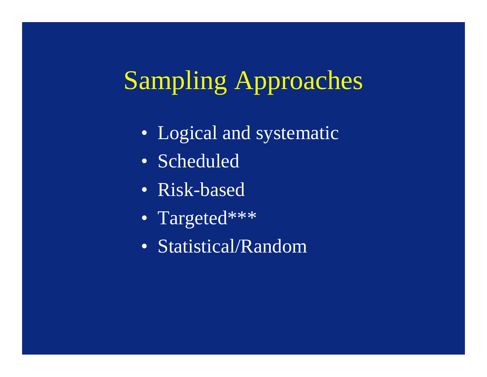# Sampling Approaches

- Logical and systematic
- Scheduled
- Risk-based
- Targeted\*\*\*
- Statistical/Random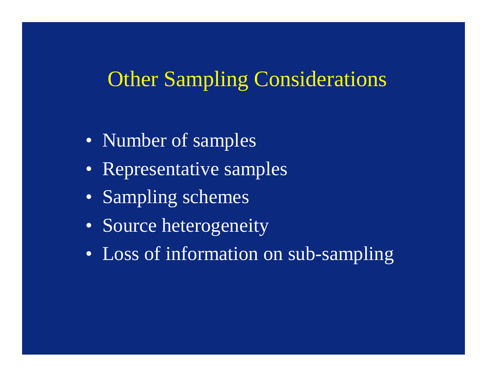#### Other Sampling Considerations

- Number of samples
- Representative samples
- Sampling schemes
- Source heterogeneity
- Loss of information on sub-sampling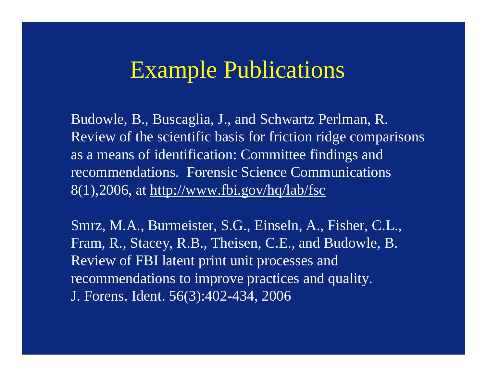#### Example Publications

Budowle, B., Buscaglia, J., and Schwartz Perlman, R. Review of the scientific basis for friction ridge comparisons as a means of identification: Committee findings and recommendations. Forensic Science Communications  $8(1)$ ,2006, at<http://www.fbi.gov/hq/lab/fsc>

Smrz, M.A., Burmeister, S.G., Einseln, A., Fisher, C.L., Fram, R., Stacey, R.B., Theisen, C.E., and Budowle, B. Review of FBI latent print unit processes and recommendations to improve practices and quality. J. Forens. Ident. 56(3):402-434, 2006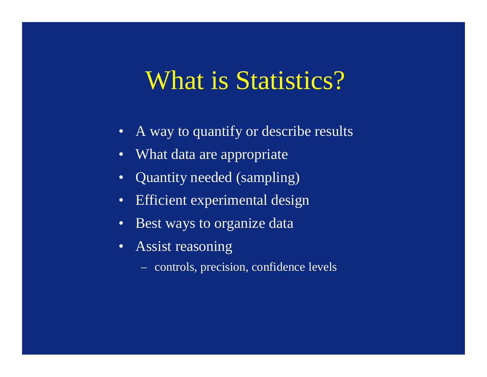#### What is Statistics?

- A way to quantify or describe results
- What data are appropriate
- Quantity needed (sampling)
- Efficient experimental design
- Best ways to organize data
- Assist reasoning
	- controls, precision, confidence levels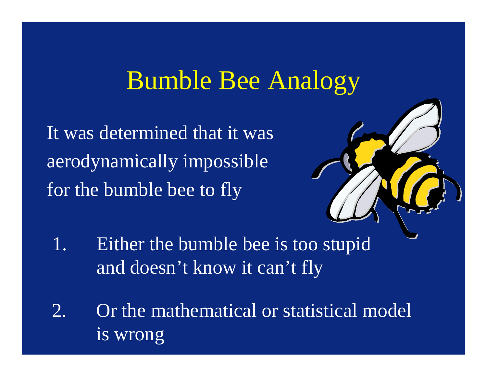#### Bumble Bee Analogy

It was determined that it was aerodynamically impossible for the bumble bee to fly



- 1. Either the bumble bee is too stupid and doesn't know it can't fly
- 2. Or the mathematical or statistical model is wrong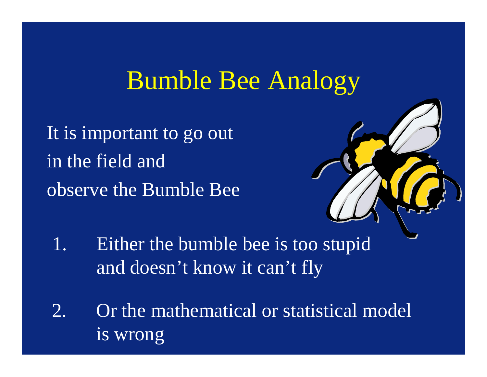#### Bumble Bee Analogy

It is important to go out in the field and observe the Bumble Bee



- 1. Either the bumble bee is too stupid and doesn't know it can't fly
- 2. Or the mathematical or statistical model is wrong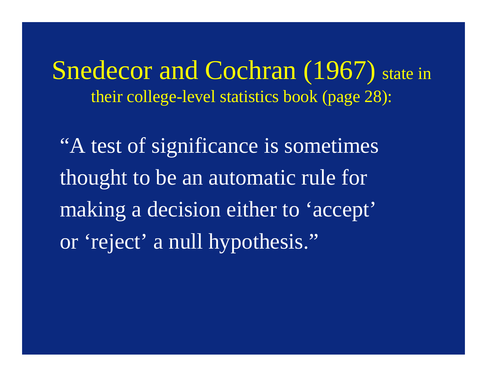Snedecor and Cochran (1967) state in their college-level statistics book (page 28):

"A test of significance is sometimes thought to be an automatic rule for making a decision either to 'accept' or 'reject' a null hypothesis."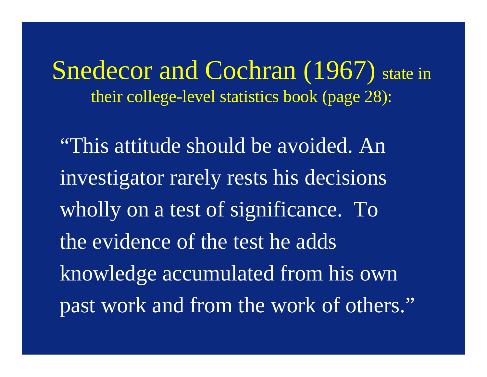Snedecor and Cochran (1967) state in their college-level statistics book (page 28):

"This attitude should be avoided. An investigator rarely rests his decisions wholly on a test of significance. To the evidence of the test he adds knowledge accumulated from his own past work and from the work of others."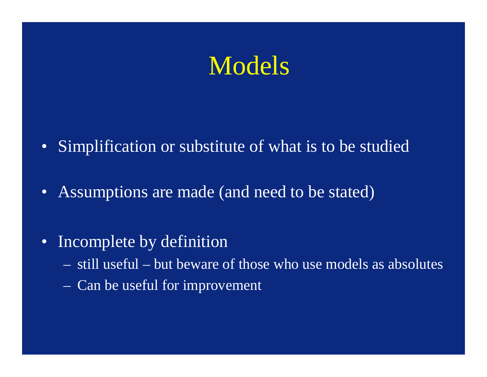#### Models

- Simplification or substitute of what is to be studied
- Assumptions are made (and need to be stated)
- Incomplete by definition
	- still useful but beware of those who use models as absolutes
	- Can be useful for improvement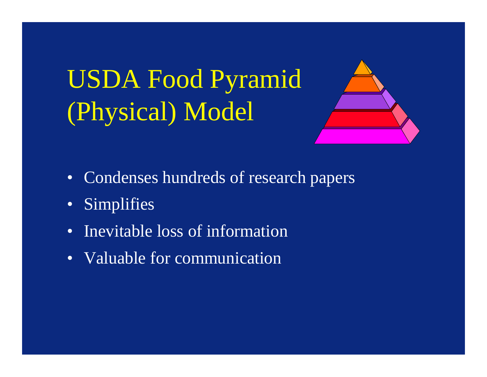# USDA Food Pyramid (Physical) Model



- Condenses hundreds of research papers
- Simplifies
- Inevitable loss of information
- Valuable for communication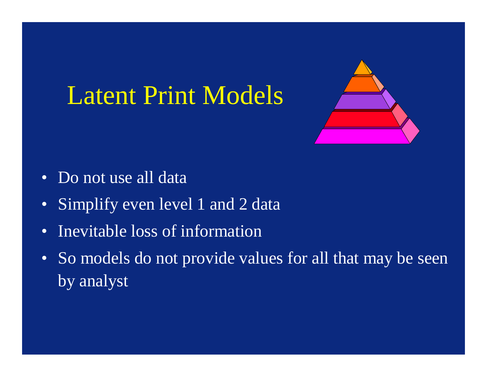## Latent Print Models



- Do not use all data
- Simplify even level 1 and 2 data
- Inevitable loss of information
- So models do not provide values for all that may be seen by analyst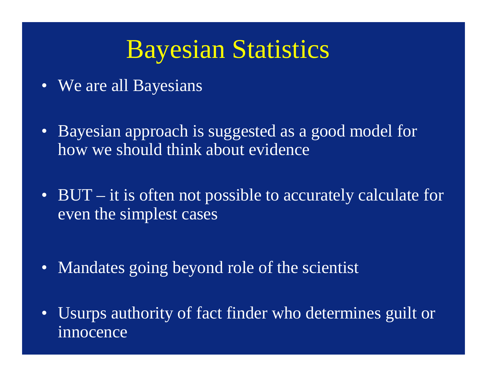#### Bayesian Statistics

- We are all Bayesians
- Bayesian approach is suggested as a good model for how we should think about evidence
- BUT it is often not possible to accurately calculate for even the simplest cases
- Mandates going beyond role of the scientist
- Usurps authority of fact finder who determines guilt or innocence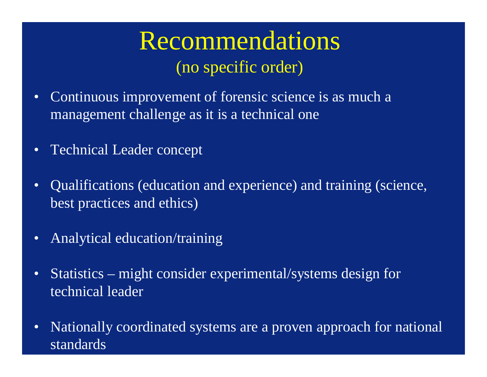#### Recommendations (no specific order)

- Continuous improvement of forensic science is as much a management challenge as it is a technical one
- Technical Leader concept
- Qualifications (education and experience) and training (science, best practices and ethics)
- Analytical education/training
- Statistics might consider experimental/systems design for technical leader
- Nationally coordinated systems are a proven approach for national standards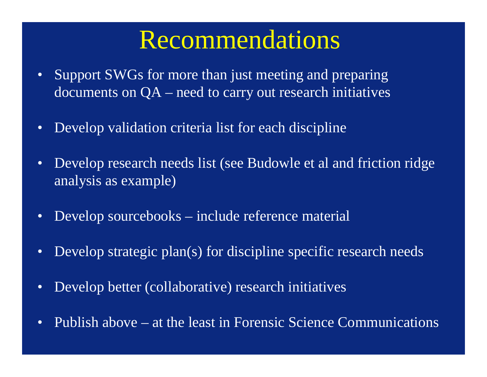#### Recommendations

- Support SWGs for more than just meeting and preparing documents on QA – need to carry out research initiatives
- Develop validation criteria list for each discipline
- Develop research needs list (see Budowle et al and friction ridge analysis as example)
- Develop sourcebooks include reference material
- Develop strategic plan(s) for discipline specific research needs
- Develop better (collaborative) research initiatives
- Publish above at the least in Forensic Science Communications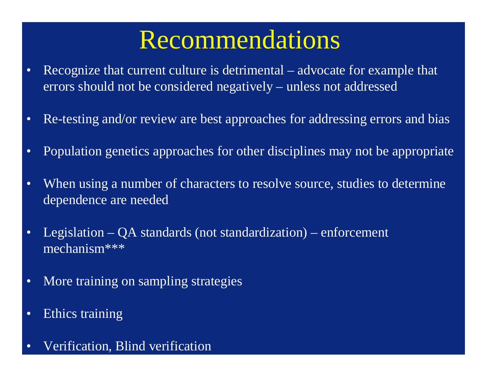#### Recommendations

- Recognize that current culture is detrimental advocate for example that errors should not be considered negatively – unless not addressed
- Re-testing and/or review are best approaches for addressing errors and bias
- Population genetics approaches for other disciplines may not be appropriate
- When using a number of characters to resolve source, studies to determine dependence are needed
- Legislation QA standards (not standardization) enforcement mechanism\*\*\*
- More training on sampling strategies
- Ethics training
- Verification, Blind verification